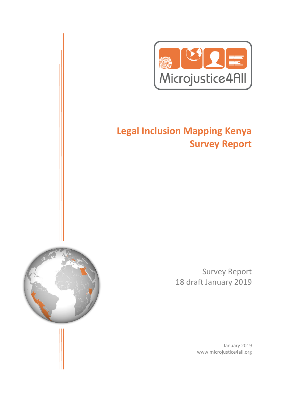

# **Legal Inclusion Mapping Kenya Survey Report**

Survey Report 18 draft January 2019

> January 2019 www.microjustice4all.org

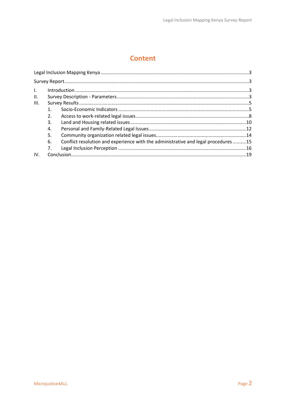## **Content**

| $\mathbf{L}$ |    |                                                                                    |  |
|--------------|----|------------------------------------------------------------------------------------|--|
| Ш.           |    |                                                                                    |  |
| III.         |    |                                                                                    |  |
|              |    |                                                                                    |  |
|              | 2. |                                                                                    |  |
|              | 3. |                                                                                    |  |
|              | 4. |                                                                                    |  |
|              | 5. |                                                                                    |  |
|              | 6. | Conflict resolution and experience with the administrative and legal procedures 15 |  |
|              | 7. |                                                                                    |  |
| IV.          |    |                                                                                    |  |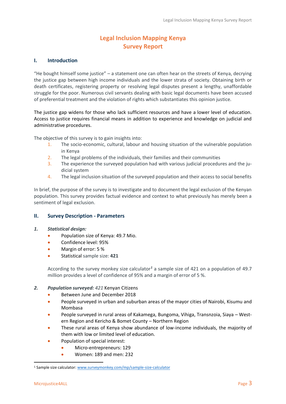### **Legal Inclusion Mapping Kenya Survey Report**

#### <span id="page-2-2"></span><span id="page-2-1"></span><span id="page-2-0"></span>**I. Introduction**

"He bought himself some justice" – a statement one can often hear on the streets of Kenya, decrying the justice gap between high income individuals and the lower strata of society. Obtaining birth or death certificates, registering property or resolving legal disputes present a lengthy, unaffordable struggle for the poor. Numerous civil servants dealing with basic legal documents have been accused of preferential treatment and the violation of rights which substantiates this opinion justice.

The justice gap widens for those who lack sufficient resources and have a lower level of education. Access to justice requires financial means in addition to experience and knowledge on judicial and administrative procedures.

The objective of this survey is to gain insights into:

- 1. The socio-economic, cultural, labour and housing situation of the vulnerable population in Kenya
- 2. The legal problems of the individuals, their families and their communities
- 3. The experience the surveyed population had with various judicial procedures and the judicial system
- 4. The legal inclusion situation of the surveyed population and their access to social benefits

In brief, the purpose of the survey is to investigate and to document the legal exclusion of the Kenyan population. This survey provides factual evidence and context to what previously has merely been a sentiment of legal exclusion.

#### <span id="page-2-3"></span>**II. Survey Description - Parameters**

- *1. Statistical design:*
	- Population size of Kenya: 49.7 Mio.
	- Confidence level: 95%
	- Margin of error: 5 %
	- Statistical sample size: **421**

According to the survey monkey size calculator*<sup>1</sup>* a sample size of 421 on a population of 49.7 million provides a level of confidence of 95% and a margin of error of 5 %.

#### *2. Population surveyed: 421* Kenyan Citizens

- Between June and December 2018
- People surveyed in urban and suburban areas of the mayor cities of Nairobi, Kisumu and Mombasa
- People surveyed in rural areas of Kakamega, Bungoma, Vihiga, Transnzoia, Siaya Western Region and Kericho & Bomet County – Northern Region
- These rural areas of Kenya show abundance of low-income individuals, the majority of them with low or limited level of education.
- Population of special interest:
	- Micro-entrepreneurs: 129
	- Women: 189 and men: 232

 $\overline{a}$ 

<sup>1</sup> Sample size calculator: [www.surveymonkey.com/mp/sample-size-calculator](http://www.surveymonkey.com/mp/sample-size-calculator)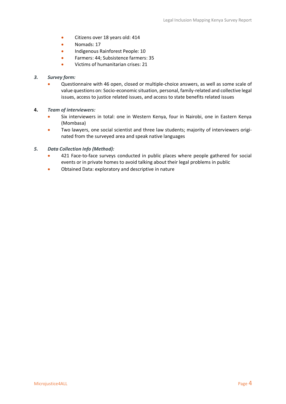- Citizens over 18 years old: 414
- Nomads: 17
- Indigenous Rainforest People: 10
- Farmers: 44; Subsistence farmers: 35
- Victims of humanitarian crises: 21

#### *3. Survey form:*

• Questionnaire with 46 open, closed or multiple-choice answers, as well as some scale of value questions on: Socio-economic situation, personal, family-related and collective legal issues, access to justice related issues, and access to state benefits related issues

#### **4.** *Team of interviewers:*

- Six interviewers in total: one in Western Kenya, four in Nairobi, one in Eastern Kenya (Mombasa)
- Two lawyers, one social scientist and three law students; majority of interviewers originated from the surveyed area and speak native languages

#### *5. Data Collection Info (Method):*

- 421 Face-to-face surveys conducted in public places where people gathered for social events or in private homes to avoid talking about their legal problems in public
- Obtained Data: exploratory and descriptive in nature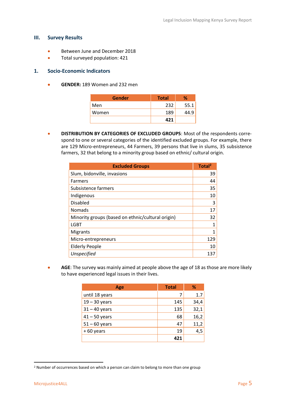#### <span id="page-4-0"></span>**III. Survey Results**

- Between June and December 2018
- Total surveyed population: 421

#### <span id="page-4-1"></span>**1. Socio-Economic Indicators**

• **GENDER:** 189 Women and 232 men

| Gender | <b>Total</b> | ℅    |
|--------|--------------|------|
| Men    | 232          | 55.1 |
| Women  | 189          |      |
|        | 421          |      |

• **DISTRIBUTION BY CATEGORIES OF EXCLUDED GROUPS**: Most of the respondents correspond to one or several categories of the identified excluded groups. For example, there are 129 Micro-entrepreneurs, 44 Farmers, 39 persons that live in slums, 35 subsistence farmers, 32 that belong to a minority group based on ethnic/ cultural origin.

| <b>Excluded Groups</b>                            | Total <sup>2</sup> |
|---------------------------------------------------|--------------------|
| Slum, bidonville, invasions                       | 39                 |
| Farmers                                           | 44                 |
| Subsistence farmers                               | 35                 |
| Indigenous                                        | 10                 |
| Disabled                                          | 3                  |
| <b>Nomads</b>                                     | 17                 |
| Minority groups (based on ethnic/cultural origin) | 32                 |
| <b>LGBT</b>                                       | 1                  |
| <b>Migrants</b>                                   | $\mathbf{1}$       |
| Micro-entrepreneurs                               | 129                |
| <b>Elderly People</b>                             | 10                 |
| Unspecified                                       | 137                |

**• AGE:** The survey was mainly aimed at people above the age of 18 as those are more likely to have experienced legal issues in their lives.

| Age             | <b>Total</b> | ℅    |
|-----------------|--------------|------|
| until 18 years  | 7            | 1.7  |
| $19 - 30$ years | 145          | 34,4 |
| $31 - 40$ years | 135          | 32,1 |
| $41 - 50$ years | 68           | 16,2 |
| $51 - 60$ years | 47           | 11,2 |
| $+60$ years     | 19           | 4,5  |
|                 | A71          |      |

 $\overline{a}$ 

<sup>&</sup>lt;sup>2</sup> Number of occurrences based on which a person can claim to belong to more than one group